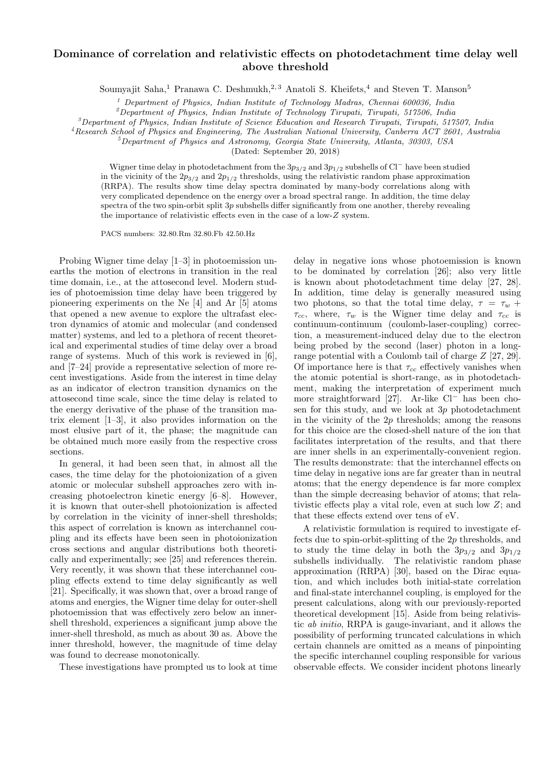## Dominance of correlation and relativistic effects on photodetachment time delay well above threshold

Soumyajit Saha,<sup>1</sup> Pranawa C. Deshmukh,<sup>2, 3</sup> Anatoli S. Kheifets,<sup>4</sup> and Steven T. Manson<sup>5</sup>

<sup>1</sup> Department of Physics, Indian Institute of Technology Madras, Chennai 600036, India

 $^{2}$ Department of Physics, Indian Institute of Technology Tirupati, Tirupati, 517506, India

 $3$ Department of Physics, Indian Institute of Science Education and Research Tirupati, Tirupati, 517507, India

<sup>4</sup>Research School of Physics and Engineering, The Australian National University, Canberra ACT 2601, Australia <sup>5</sup>Department of Physics and Astronomy, Georgia State University, Atlanta, 30303, USA

(Dated: September 20, 2018)

Wigner time delay in photodetachment from the  $3p_{3/2}$  and  $3p_{1/2}$  subshells of Cl<sup>−</sup> have been studied in the vicinity of the  $2p_{3/2}$  and  $2p_{1/2}$  thresholds, using the relativistic random phase approximation (RRPA). The results show time delay spectra dominated by many-body correlations along with very complicated dependence on the energy over a broad spectral range. In addition, the time delay spectra of the two spin-orbit split  $3p$  subshells differ significantly from one another, thereby revealing the importance of relativistic effects even in the case of a low-Z system.

PACS numbers: 32.80.Rm 32.80.Fb 42.50.Hz

Probing Wigner time delay [1–3] in photoemission unearths the motion of electrons in transition in the real time domain, i.e., at the attosecond level. Modern studies of photoemission time delay have been triggered by pioneering experiments on the Ne [4] and Ar [5] atoms that opened a new avenue to explore the ultrafast electron dynamics of atomic and molecular (and condensed matter) systems, and led to a plethora of recent theoretical and experimental studies of time delay over a broad range of systems. Much of this work is reviewed in [6], and [7–24] provide a representative selection of more recent investigations. Aside from the interest in time delay as an indicator of electron transition dynamics on the attosecond time scale, since the time delay is related to the energy derivative of the phase of the transition matrix element [1–3], it also provides information on the most elusive part of it, the phase; the magnitude can be obtained much more easily from the respective cross sections.

In general, it had been seen that, in almost all the cases, the time delay for the photoionization of a given atomic or molecular subshell approaches zero with increasing photoelectron kinetic energy [6–8]. However, it is known that outer-shell photoionization is affected by correlation in the vicinity of inner-shell thresholds; this aspect of correlation is known as interchannel coupling and its effects have been seen in photoionization cross sections and angular distributions both theoretically and experimentally; see [25] and references therein. Very recently, it was shown that these interchannel coupling effects extend to time delay significantly as well [21]. Specifically, it was shown that, over a broad range of atoms and energies, the Wigner time delay for outer-shell photoemission that was effectively zero below an innershell threshold, experiences a significant jump above the inner-shell threshold, as much as about 30 as. Above the inner threshold, however, the magnitude of time delay was found to decrease monotonically.

These investigations have prompted us to look at time

delay in negative ions whose photoemission is known to be dominated by correlation [26]; also very little is known about photodetachment time delay [27, 28]. In addition, time delay is generally measured using two photons, so that the total time delay,  $\tau = \tau_w +$  $\tau_{cc}$ , where,  $\tau_w$  is the Wigner time delay and  $\tau_{cc}$  is continuum-continuum (coulomb-laser-coupling) correction, a measurement-induced delay due to the electron being probed by the second (laser) photon in a longrange potential with a Coulomb tail of charge Z [27, 29]. Of importance here is that  $\tau_{cc}$  effectively vanishes when the atomic potential is short-range, as in photodetachment, making the interpretation of experiment much more straightforward [27]. Ar-like Cl<sup>−</sup> has been chosen for this study, and we look at  $3p$  photodetachment in the vicinity of the  $2p$  thresholds; among the reasons for this choice are the closed-shell nature of the ion that facilitates interpretation of the results, and that there are inner shells in an experimentally-convenient region. The results demonstrate: that the interchannel effects on time delay in negative ions are far greater than in neutral atoms; that the energy dependence is far more complex than the simple decreasing behavior of atoms; that relativistic effects play a vital role, even at such low Z; and that these effects extend over tens of eV.

A relativistic formulation is required to investigate effects due to spin-orbit-splitting of the  $2p$  thresholds, and to study the time delay in both the  $3p_{3/2}$  and  $3p_{1/2}$ subshells individually. The relativistic random phase approximation (RRPA) [30], based on the Dirac equation, and which includes both initial-state correlation and final-state interchannel coupling, is employed for the present calculations, along with our previously-reported theoretical development [15]. Aside from being relativistic ab initio, RRPA is gauge-invariant, and it allows the possibility of performing truncated calculations in which certain channels are omitted as a means of pinpointing the specific interchannel coupling responsible for various observable effects. We consider incident photons linearly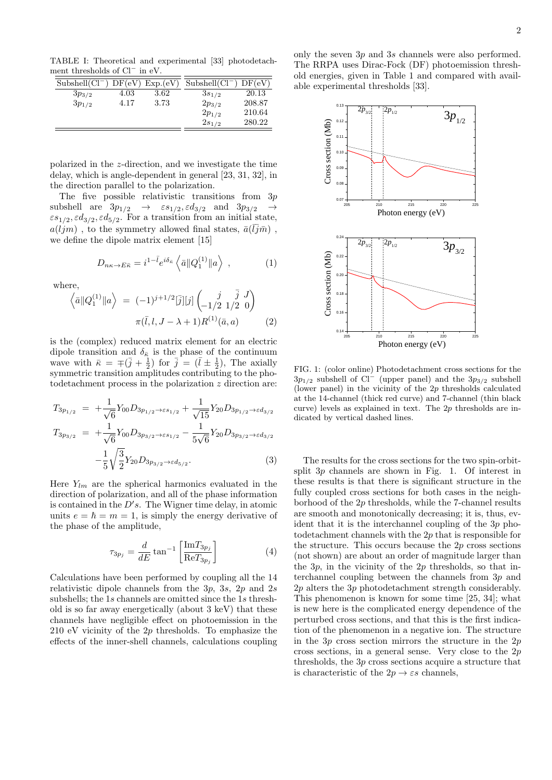TABLE I: Theoretical and experimental [33] photodetachment thresholds of Cl<sup>−</sup> in eV.

| $Subshell(Cl^-$ |      | DF(eV) Exp.(eV) | $Subshell(Cl^-)$ | DF(eV) |
|-----------------|------|-----------------|------------------|--------|
| $3p_{3/2}$      | 4.03 | 3.62            | $3s_{1/2}$       | 20.13  |
| $3p_{1/2}$      | 4.17 | 3.73            | $2p_{3/2}$       | 208.87 |
|                 |      |                 | $2p_{1/2}$       | 210.64 |
|                 |      |                 | $2s_{1/2}$       | 280.22 |

polarized in the z-direction, and we investigate the time delay, which is angle-dependent in general [23, 31, 32], in the direction parallel to the polarization.

The five possible relativistic transitions from  $3p$ subshell are  $3p_{1/2} \rightarrow \varepsilon s_{1/2}, \varepsilon d_{3/2}$  and  $3p_{3/2} \rightarrow$  $\epsilon s_{1/2}, \epsilon d_{3/2}, \epsilon d_{5/2}$ . For a transition from an initial state,  $a(ljm)$ , to the symmetry allowed final states,  $\bar{a}(\bar{l}j\bar{m})$ , we define the dipole matrix element [15]

$$
D_{n\kappa \to E\bar{\kappa}} = i^{1-\bar{l}} e^{i\delta_{\bar{\kappa}}} \left\langle \bar{a} \| Q_1^{(1)} \| a \right\rangle , \qquad (1)
$$

where,

$$
\langle \bar{a} \| Q_1^{(1)} \| a \rangle = (-1)^{j+1/2} [\bar{j}] [j] \begin{pmatrix} j & \bar{j} & J \\ -1/2 & 1/2 & 0 \end{pmatrix}
$$

$$
\pi(\bar{l}, l, J - \lambda + 1) R^{(1)} (\bar{a}, a) \tag{2}
$$

is the (complex) reduced matrix element for an electric dipole transition and  $\delta_{\bar{\kappa}}$  is the phase of the continuum wave with  $\bar{\kappa} = \pm (\bar{j} + \frac{1}{2})$  for  $\bar{j} = (\bar{l} \pm \frac{1}{2})$ , The axially symmetric transition amplitudes contributing to the photodetachment process in the polarization z direction are:

$$
T_{3p_{1/2}} = +\frac{1}{\sqrt{6}} Y_{00} D_{3p_{1/2} \to \varepsilon s_{1/2}} + \frac{1}{\sqrt{15}} Y_{20} D_{3p_{1/2} \to \varepsilon d_{3/2}}
$$
  
\n
$$
T_{3p_{3/2}} = +\frac{1}{\sqrt{6}} Y_{00} D_{3p_{3/2} \to \varepsilon s_{1/2}} - \frac{1}{5\sqrt{6}} Y_{20} D_{3p_{3/2} \to \varepsilon d_{3/2}}
$$
  
\n
$$
-\frac{1}{5} \sqrt{\frac{3}{2}} Y_{20} D_{3p_{3/2} \to \varepsilon d_{5/2}}.
$$
\n(3)

Here  $Y_{lm}$  are the spherical harmonics evaluated in the direction of polarization, and all of the phase information is contained in the  $D's$ . The Wigner time delay, in atomic units  $e = \hbar = m = 1$ , is simply the energy derivative of the phase of the amplitude,

$$
\tau_{3p_j} = \frac{d}{dE} \tan^{-1} \left[ \frac{\text{Im} T_{3p_j}}{\text{Re} T_{3p_j}} \right] \tag{4}
$$

Calculations have been performed by coupling all the 14 relativistic dipole channels from the 3p, 3s, 2p and 2s subshells; the 1s channels are omitted since the 1s threshold is so far away energetically (about 3 keV) that these channels have negligible effect on photoemission in the 210 eV vicinity of the 2p thresholds. To emphasize the effects of the inner-shell channels, calculations coupling

only the seven 3p and 3s channels were also performed. The RRPA uses Dirac-Fock (DF) photoemission threshold energies, given in Table 1 and compared with available experimental thresholds [33].



FIG. 1: (color online) Photodetachment cross sections for the  $3p_{1/2}$  subshell of Cl<sup>−</sup> (upper panel) and the  $3p_{3/2}$  subshell (lower panel) in the vicinity of the  $2p$  thresholds calculated at the 14-channel (thick red curve) and 7-channel (thin black curve) levels as explained in text. The  $2p$  thresholds are indicated by vertical dashed lines.

The results for the cross sections for the two spin-orbitsplit 3p channels are shown in Fig. 1. Of interest in these results is that there is significant structure in the fully coupled cross sections for both cases in the neighborhood of the 2p thresholds, while the 7-channel results are smooth and monotonically decreasing; it is, thus, evident that it is the interchannel coupling of the 3p photodetachment channels with the 2p that is responsible for the structure. This occurs because the 2p cross sections (not shown) are about an order of magnitude larger than the  $3p$ , in the vicinity of the  $2p$  thresholds, so that interchannel coupling between the channels from 3p and 2p alters the 3p photodetachment strength considerably. This phenomenon is known for some time [25, 34]; what is new here is the complicated energy dependence of the perturbed cross sections, and that this is the first indication of the phenomenon in a negative ion. The structure in the  $3p$  cross section mirrors the structure in the  $2p$ cross sections, in a general sense. Very close to the  $2p$ thresholds, the 3p cross sections acquire a structure that is characteristic of the  $2p \rightarrow \varepsilon s$  channels,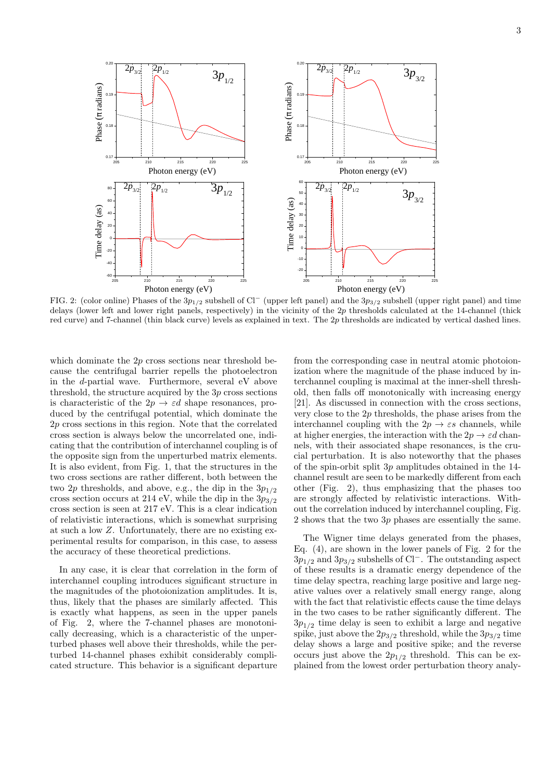

FIG. 2: (color online) Phases of the  $3p_{1/2}$  subshell of Cl<sup>−</sup> (upper left panel) and the  $3p_{3/2}$  subshell (upper right panel) and time delays (lower left and lower right panels, respectively) in the vicinity of the 2p thresholds calculated at the 14-channel (thick red curve) and 7-channel (thin black curve) levels as explained in text. The 2p thresholds are indicated by vertical dashed lines.

which dominate the 2p cross sections near threshold because the centrifugal barrier repells the photoelectron in the d-partial wave. Furthermore, several eV above threshold, the structure acquired by the 3p cross sections is characteristic of the  $2p \rightarrow \varepsilon d$  shape resonances, produced by the centrifugal potential, which dominate the 2p cross sections in this region. Note that the correlated cross section is always below the uncorrelated one, indicating that the contribution of interchannel coupling is of the opposite sign from the unperturbed matrix elements. It is also evident, from Fig. 1, that the structures in the two cross sections are rather different, both between the two 2p thresholds, and above, e.g., the dip in the  $3p_{1/2}$ cross section occurs at 214 eV, while the dip in the  $3p_{3/2}$ cross section is seen at 217 eV. This is a clear indication of relativistic interactions, which is somewhat surprising at such a low Z. Unfortunately, there are no existing experimental results for comparison, in this case, to assess the accuracy of these theoretical predictions.

In any case, it is clear that correlation in the form of interchannel coupling introduces significant structure in the magnitudes of the photoionization amplitudes. It is, thus, likely that the phases are similarly affected. This is exactly what happens, as seen in the upper panels of Fig. 2, where the 7-channel phases are monotonically decreasing, which is a characteristic of the unperturbed phases well above their thresholds, while the perturbed 14-channel phases exhibit considerably complicated structure. This behavior is a significant departure

from the corresponding case in neutral atomic photoionization where the magnitude of the phase induced by interchannel coupling is maximal at the inner-shell threshold, then falls off monotonically with increasing energy [21]. As discussed in connection with the cross sections, very close to the  $2p$  thresholds, the phase arises from the interchannel coupling with the  $2p \rightarrow \varepsilon s$  channels, while at higher energies, the interaction with the  $2p \rightarrow \varepsilon d$  channels, with their associated shape resonances, is the crucial perturbation. It is also noteworthy that the phases of the spin-orbit split 3p amplitudes obtained in the 14 channel result are seen to be markedly different from each other (Fig. 2), thus emphasizing that the phases too are strongly affected by relativistic interactions. Without the correlation induced by interchannel coupling, Fig. 2 shows that the two 3p phases are essentially the same.

The Wigner time delays generated from the phases, Eq. (4), are shown in the lower panels of Fig. 2 for the  $3p_{1/2}$  and  $3p_{3/2}$  subshells of Cl<sup>−</sup>. The outstanding aspect of these results is a dramatic energy dependence of the time delay spectra, reaching large positive and large negative values over a relatively small energy range, along with the fact that relativistic effects cause the time delays in the two cases to be rather significantly different. The  $3p_{1/2}$  time delay is seen to exhibit a large and negative spike, just above the  $2p_{3/2}$  threshold, while the  $3p_{3/2}$  time delay shows a large and positive spike; and the reverse occurs just above the  $2p_{1/2}$  threshold. This can be explained from the lowest order perturbation theory analy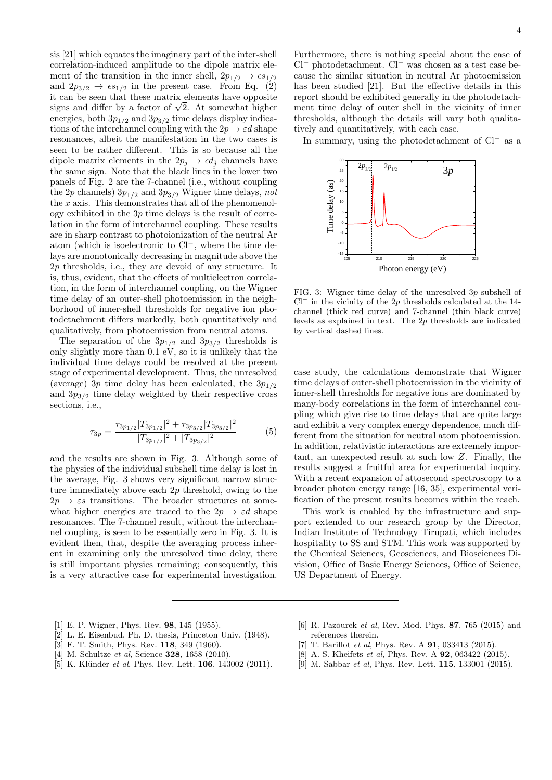sis [21] which equates the imaginary part of the inter-shell correlation-induced amplitude to the dipole matrix element of the transition in the inner shell,  $2p_{1/2} \rightarrow \epsilon s_{1/2}$ and  $2p_{3/2} \rightarrow \epsilon s_{1/2}$  in the present case. From Eq. (2) it can be seen that these matrix elements have opposite It can be seen that these matrix elements have opposite signs and differ by a factor of  $\sqrt{2}$ . At somewhat higher energies, both  $3p_{1/2}$  and  $3p_{3/2}$  time delays display indications of the interchannel coupling with the  $2p \rightarrow \varepsilon d$  shape resonances, albeit the manifestation in the two cases is seen to be rather different. This is so because all the dipole matrix elements in the  $2p_j \rightarrow \epsilon d_{\bar{j}}$  channels have the same sign. Note that the black lines in the lower two panels of Fig. 2 are the 7-channel (i.e., without coupling the 2p channels)  $3p_{1/2}$  and  $3p_{3/2}$  Wigner time delays, not the  $x$  axis. This demonstrates that all of the phenomenology exhibited in the  $3p$  time delays is the result of correlation in the form of interchannel coupling. These results are in sharp contrast to photoionization of the neutral Ar atom (which is isoelectronic to Cl−, where the time delays are monotonically decreasing in magnitude above the 2p thresholds, i.e., they are devoid of any structure. It is, thus, evident, that the effects of multielectron correlation, in the form of interchannel coupling, on the Wigner time delay of an outer-shell photoemission in the neighborhood of inner-shell thresholds for negative ion photodetachment differs markedly, both quantitatively and qualitatively, from photoemission from neutral atoms.

The separation of the  $3p_{1/2}$  and  $3p_{3/2}$  thresholds is only slightly more than  $0.1 \text{ eV}$ , so it is unlikely that the individual time delays could be resolved at the present stage of experimental development. Thus, the unresolved (average) 3p time delay has been calculated, the  $3p_{1/2}$ and  $3p_{3/2}$  time delay weighted by their respective cross sections, i.e.,

$$
\tau_{3p} = \frac{\tau_{3p_{1/2}} |T_{3p_{1/2}}|^2 + \tau_{3p_{3/2}} |T_{3p_{3/2}}|^2}{|T_{3p_{1/2}}|^2 + |T_{3p_{3/2}}|^2} \tag{5}
$$

and the results are shown in Fig. 3. Although some of the physics of the individual subshell time delay is lost in the average, Fig. 3 shows very significant narrow structure immediately above each  $2p$  threshold, owing to the  $2p \rightarrow \varepsilon s$  transitions. The broader structures at somewhat higher energies are traced to the  $2p \rightarrow \varepsilon d$  shape resonances. The 7-channel result, without the interchannel coupling, is seen to be essentially zero in Fig. 3. It is evident then, that, despite the averaging process inherent in examining only the unresolved time delay, there is still important physics remaining; consequently, this is a very attractive case for experimental investigation.

Furthermore, there is nothing special about the case of Cl<sup>−</sup> photodetachment. Cl<sup>−</sup> was chosen as a test case because the similar situation in neutral Ar photoemission has been studied [21]. But the effective details in this report should be exhibited generally in the photodetachment time delay of outer shell in the vicinity of inner thresholds, although the details will vary both qualitatively and quantitatively, with each case.

In summary, using the photodetachment of Cl<sup>−</sup> as a



FIG. 3: Wigner time delay of the unresolved 3p subshell of  $Cl^-$  in the vicinity of the 2p thresholds calculated at the 14channel (thick red curve) and 7-channel (thin black curve) levels as explained in text. The 2p thresholds are indicated by vertical dashed lines.

case study, the calculations demonstrate that Wigner time delays of outer-shell photoemission in the vicinity of inner-shell thresholds for negative ions are dominated by many-body correlations in the form of interchannel coupling which give rise to time delays that are quite large and exhibit a very complex energy dependence, much different from the situation for neutral atom photoemission. In addition, relativistic interactions are extremely important, an unexpected result at such low Z. Finally, the results suggest a fruitful area for experimental inquiry. With a recent expansion of attosecond spectroscopy to a broader photon energy range [16, 35], experimental verification of the present results becomes within the reach.

This work is enabled by the infrastructure and support extended to our research group by the Director, Indian Institute of Technology Tirupati, which includes hospitality to SS and STM. This work was supported by the Chemical Sciences, Geosciences, and Biosciences Division, Office of Basic Energy Sciences, Office of Science, US Department of Energy.

- [1] E. P. Wigner, Phys. Rev. **98**, 145 (1955).
- [2] L. E. Eisenbud, Ph. D. thesis, Princeton Univ. (1948).
- [3] F. T. Smith, Phys. Rev. **118**, 349 (1960).
- [4] M. Schultze *et al*, Science **328**, 1658 (2010).
- [5] K. Klünder et al, Phys. Rev. Lett. **106**, 143002 (2011).
- [6] R. Pazourek et al, Rev. Mod. Phys. 87, 765 (2015) and references therein.
- [7] T. Barillot *et al*, Phys. Rev. A **91**, 033413 (2015).
- [8] A. S. Kheifets et al, Phys. Rev. A **92**, 063422 (2015).
- [9] M. Sabbar et al, Phys. Rev. Lett. **115**, 133001 (2015).